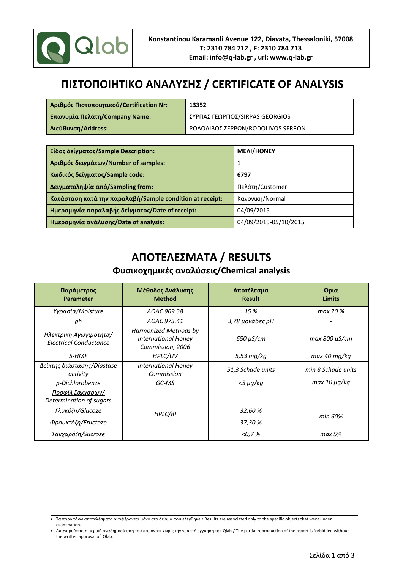

## **ΠΙΣΤΟΠΟΙΗΤΙΚΟ ΑΝΑΛΥΣΗΣ / CERTIFICATE OF ANALYSIS**

| <b>Αριθμός Πιστοποιητικού/Certification Nr:</b> | 13352                             |
|-------------------------------------------------|-----------------------------------|
| <b>Επωνυμία Πελάτη/Company Name:</b>            | ΣΥΡΠΑΣ ΓΕΩΡΓΙΟΣ/SIRPAS GEORGIOS   |
| Διεύθυνση/Address:                              | ΡΟΔΟΛΙΒΟΣ ΣΕΡΡΩΝ/RODOLIVOS SERRON |

| Είδος δείγματος/Sample Description:                      | <b>MEAI/HONEY</b>     |
|----------------------------------------------------------|-----------------------|
| Αριθμός δειγμάτων/Number of samples:                     |                       |
| Κωδικός δείγματος/Sample code:                           | 6797                  |
| Δειγματοληψία από/Sampling from:                         | Πελάτη/Customer       |
| Κατάσταση κατά την παραλαβή/Sample condition at receipt: | Κανονική/Normal       |
| Ημερομηνία παραλαβής δείγματος/Date of receipt:          | 04/09/2015            |
| Ημερομηνία ανάλυσης/Date of analysis:                    | 04/09/2015-05/10/2015 |

## **ΑΠΟΤΕΛΕΣΜΑΤΑ / RESULTS Φυσικοχημικές αναλύσεις/Chemical analysis**

| Παράμετρος<br><b>Parameter</b>                          | Μέθοδος Ανάλυσης<br><b>Method</b>                                       | Αποτέλεσμα<br><b>Result</b> | Όρια<br><b>Limits</b> |
|---------------------------------------------------------|-------------------------------------------------------------------------|-----------------------------|-----------------------|
| Υγρασία/Moisture                                        | AOAC 969.38                                                             | 15 %                        | max 20 %              |
| ph                                                      | AOAC 973.41                                                             | 3,78 μονάδες pH             |                       |
| Ηλεκτρική Αγωγιμότητα/<br><b>Electrical Conductance</b> | Harmonized Methods by<br><b>International Honey</b><br>Commission, 2006 | $650 \mu$ S/cm              | $max 800 \mu S/cm$    |
| 5-HMF                                                   | HPLC/UV                                                                 | 5,53 mg/kg                  | max 40 mg/kg          |
| Δείκτης διάστασης/Diastase<br>activity                  | <b>International Honey</b><br>Commission                                | 51,3 Schade units           | min 8 Schade units    |
| p-Dichlorobenze                                         | GC-MS                                                                   | $<$ 5 $\mu$ g/kg            | $max 10 \mu q/kg$     |
| Προφίλ Σακχαρων/<br>Determination of sugars             |                                                                         |                             |                       |
| Γλυκόζη/Glucoze                                         | HPLC/RI                                                                 | 32,60 %                     |                       |
| Φρουκτόζη/Fructoze                                      |                                                                         | 37,30 %                     | min 60%               |
| Σακχαρόζη/Sucroze                                       |                                                                         | $<$ 0,7 $\%$                | max 5%                |

Τα παραπάνω αποτελέσματα αναφέρονται μόνο στο δείγμα που ελέγθηκε./ Results are associated only to the specific objects that went under examination.

Απαγορεύεται η μερική αναδημοσίευση του παρόντος χωρίς την γραπτή εγγύηση της Qlab./ The partial reproduction of the report is forbidden without the written approval of Qlab.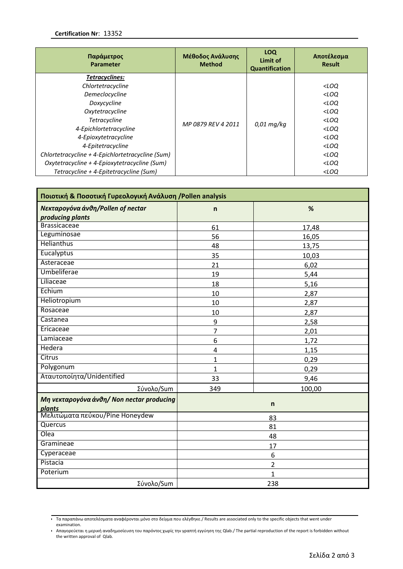| Παράμετρος<br><b>Parameter</b>                                                                                                                                                                                                                                                                                                      | Μέθοδος Ανάλυσης<br><b>Method</b> | LOQ<br>Limit of<br><b>Quantification</b> | Αποτέλεσμα<br><b>Result</b>                                                                                                                                                                      |
|-------------------------------------------------------------------------------------------------------------------------------------------------------------------------------------------------------------------------------------------------------------------------------------------------------------------------------------|-----------------------------------|------------------------------------------|--------------------------------------------------------------------------------------------------------------------------------------------------------------------------------------------------|
| Tetracyclines:<br>Chlortetracycline<br>Demeclocycline<br>Doxycycline<br>Oxytetracycline<br><b>Tetracycline</b><br>4-Epichlortetracycline<br>4-Epioxytetracycline<br>4-Epitetracycline<br>Chlortetracycline + 4-Epichlortetracycline (Sum)<br>Oxytetracycline + 4-Epioxytetracycline (Sum)<br>Tetracycline + 4-Epitetracycline (Sum) | MP 0879 REV 4 2011                | $0.01$ mg/kg                             | $<$ LOQ<br>$<$ LOQ<br>$<$ LOQ<br>$<$ LOQ<br>$<$ LOQ<br><loq<br><math>&lt;</math>LOQ<br/><math>&lt;</math>LOQ<br/><math>&lt;</math>LOQ<br/><math>&lt;</math>LOQ<br/><math>&lt;</math>LOQ</loq<br> |

| Ποιοτική & Ποσοτική Γυρεολογική Ανάλυση /Pollen analysis |                |              |  |  |
|----------------------------------------------------------|----------------|--------------|--|--|
| Νεκταρογόνα άνθη/Pollen of nectar                        | $\mathsf{n}$   | %            |  |  |
| producing plants                                         |                |              |  |  |
| <b>Brassicaceae</b>                                      | 61             | 17,48        |  |  |
| Leguminosae                                              | 56             | 16,05        |  |  |
| Helianthus                                               | 48             | 13,75        |  |  |
| Eucalyptus                                               | 35             | 10,03        |  |  |
| Asteraceae                                               | 21             | 6,02         |  |  |
| Umbeliferae                                              | 19             | 5,44         |  |  |
| Liliaceae                                                | 18             | 5,16         |  |  |
| Echium                                                   | 10             | 2,87         |  |  |
| Heliotropium                                             | 10             | 2,87         |  |  |
| Rosaceae                                                 | 10             | 2,87         |  |  |
| Castanea                                                 | 9              | 2,58         |  |  |
| Ericaceae                                                | $\overline{7}$ | 2,01         |  |  |
| Lamiaceae                                                | 6              | 1,72         |  |  |
| Hedera                                                   | 4              | 1,15         |  |  |
| Citrus                                                   | $\mathbf{1}$   | 0,29         |  |  |
| Polygonum                                                | $\mathbf{1}$   | 0,29         |  |  |
| Αταυτοποίητα/Unidentified                                | 33             | 9,46         |  |  |
| Σύνολο/Sum                                               | 349            | 100,00       |  |  |
| Μη νεκταρογόνα άνθη/ Non nectar producing<br>plants      |                | $\mathsf{n}$ |  |  |
| Μελιτώματα πεύκου/Pine Honeydew                          |                | 83           |  |  |
| Quercus                                                  | 81             |              |  |  |
| Olea                                                     | 48             |              |  |  |
| Gramineae                                                | 17             |              |  |  |
| Cyperaceae                                               | 6              |              |  |  |
| Pistacia                                                 | $\overline{2}$ |              |  |  |
| Poterium                                                 | $\mathbf{1}$   |              |  |  |
| Σύνολο/Sum                                               |                | 238          |  |  |

Τα παραπάνω αποτελέσματα αναφέρονται μόνο στο δείγμα που ελέγθηκε./ Results are associated only to the specific objects that went under examination.

Απαγορεύεται η μερική αναδημοσίευση του παρόντος χωρίς την γραπτή εγγύηση της Qlab./ The partial reproduction of the report is forbidden without the written approval of Qlab.